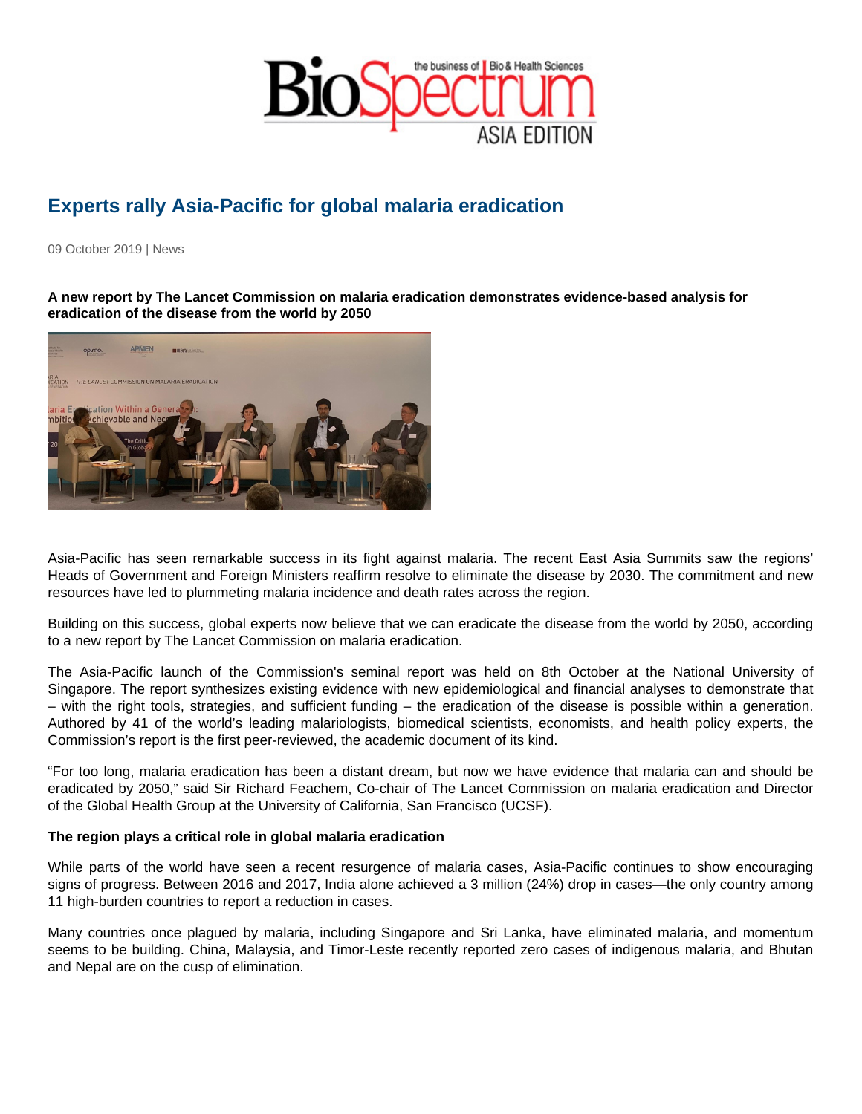## Experts rally Asia-Pacific for global malaria eradication

09 October 2019 | News

A new report by The Lancet Commission on malaria eradication demonstrates evidence-based analysis for eradication of the disease from the world by 2050

Asia-Pacific has seen remarkable success in its fight against malaria. The recent East Asia Summits saw the regions' Heads of Government and Foreign Ministers reaffirm resolve to eliminate the disease by 2030. The commitment and new resources have led to plummeting malaria incidence and death rates across the region.

Building on this success, global experts now believe that we can eradicate the disease from the world by 2050, according to a new report by The Lancet Commission on malaria eradication.

The Asia-Pacific launch of the Commission's seminal report was held on 8th October at the National University of Singapore. The report synthesizes existing evidence with new epidemiological and financial analyses to demonstrate that – with the right tools, strategies, and sufficient funding – the eradication of the disease is possible within a generation. Authored by 41 of the world's leading malariologists, biomedical scientists, economists, and health policy experts, the Commission's report is the first peer-reviewed, the academic document of its kind.

"For too long, malaria eradication has been a distant dream, but now we have evidence that malaria can and should be eradicated by 2050," said Sir Richard Feachem, Co-chair of The Lancet Commission on malaria eradication and Director of the Global Health Group at the University of California, San Francisco (UCSF).

The region plays a critical role in global malaria eradication

While parts of the world have seen a recent resurgence of malaria cases, Asia-Pacific continues to show encouraging signs of progress. Between 2016 and 2017, India alone achieved a 3 million (24%) drop in cases—the only country among 11 high-burden countries to report a reduction in cases.

Many countries once plagued by malaria, including Singapore and Sri Lanka, have eliminated malaria, and momentum seems to be building. China, Malaysia, and Timor-Leste recently reported zero cases of indigenous malaria, and Bhutan and Nepal are on the cusp of elimination.